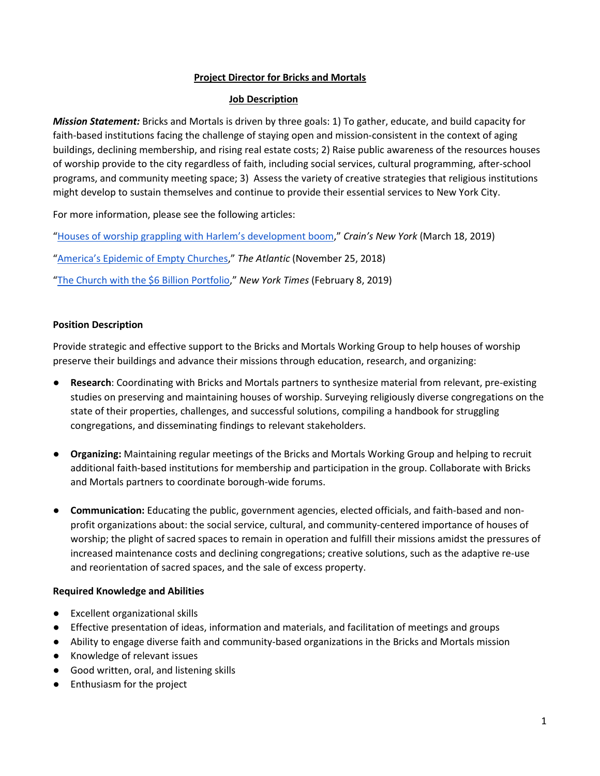## **Project Director for Bricks and Mortals**

## **Job Description**

*Mission Statement:* Bricks and Mortals is driven by three goals: 1) To gather, educate, and build capacity for faith-based institutions facing the challenge of staying open and mission-consistent in the context of aging buildings, declining membership, and rising real estate costs; 2) Raise public awareness of the resources houses of worship provide to the city regardless of faith, including social services, cultural programming, after-school programs, and community meeting space; 3) Assess the variety of creative strategies that religious institutions might develop to sustain themselves and continue to provide their essential services to New York City.

For more information, please see the following articles:

["Houses of worship grappling with Harlem's development boom,](https://urldefense.proofpoint.com/v2/url?u=https-3A__www.crainsnewyork.com_features_houses-2Dworship-2Dgrappling-2Dharlems-2Ddevelopment-2Dboom&d=DwMFaQ&c=slrrB7dE8n7gBJbeO0g-IQ&r=6Mze6XosTjGZMnJrGH_rQqifLh5aqLbdOctgcY06Zu0&m=Yd_MrfsURrjam-h_uGhgWgpLe7Jb1s52oOJFHVbzFPg&s=Xe2fFiJMXwQfTchtKZSRLID6DdnnGKfP9BE95oylLgQ&e=)" *Crain's New York* (March 18, 2019)

["America's Epidemic of Empty Churches,](https://urldefense.proofpoint.com/v2/url?u=https-3A__www.theatlantic.com_ideas_archive_2018_11_what-2Dshould-2Damerica-2Ddo-2Dits-2Dempty-2Dchurch-2Dbuildings_576592_&d=DwMFaQ&c=slrrB7dE8n7gBJbeO0g-IQ&r=6Mze6XosTjGZMnJrGH_rQqifLh5aqLbdOctgcY06Zu0&m=Yd_MrfsURrjam-h_uGhgWgpLe7Jb1s52oOJFHVbzFPg&s=SVw2HOXlrywAhbHrsMbv6cQEbMU_1MoMLiOFPi5PgnY&e=)" *The Atlantic* (November 25, 2018)

["The Church with the \\$6 Billion Portfolio,](https://urldefense.proofpoint.com/v2/url?u=https-3A__www.nytimes.com_2019_02_08_nyregion_trinity-2Dchurch-2Dmanhattan-2Dreal-2Destate.html-3Faction-3Dclick-26module-3DNews-26pgtype-3DHomepage&d=DwMFaQ&c=slrrB7dE8n7gBJbeO0g-IQ&r=6Mze6XosTjGZMnJrGH_rQqifLh5aqLbdOctgcY06Zu0&m=Yd_MrfsURrjam-h_uGhgWgpLe7Jb1s52oOJFHVbzFPg&s=PG3ygwBBk5LAH-OeQ0pBQYiWmTh99IxVKgChF8xoi30&e=)" *New York Times* (February 8, 2019)

# **Position Description**

Provide strategic and effective support to the Bricks and Mortals Working Group to help houses of worship preserve their buildings and advance their missions through education, research, and organizing:

- Research: Coordinating with Bricks and Mortals partners to synthesize material from relevant, pre-existing studies on preserving and maintaining houses of worship. Surveying religiously diverse congregations on the state of their properties, challenges, and successful solutions, compiling a handbook for struggling congregations, and disseminating findings to relevant stakeholders.
- **Organizing:** Maintaining regular meetings of the Bricks and Mortals Working Group and helping to recruit additional faith-based institutions for membership and participation in the group. Collaborate with Bricks and Mortals partners to coordinate borough-wide forums.
- **Communication:** Educating the public, government agencies, elected officials, and faith-based and nonprofit organizations about: the social service, cultural, and community-centered importance of houses of worship; the plight of sacred spaces to remain in operation and fulfill their missions amidst the pressures of increased maintenance costs and declining congregations; creative solutions, such as the adaptive re-use and reorientation of sacred spaces, and the sale of excess property.

# **Required Knowledge and Abilities**

- Excellent organizational skills
- Effective presentation of ideas, information and materials, and facilitation of meetings and groups
- Ability to engage diverse faith and community-based organizations in the Bricks and Mortals mission
- Knowledge of relevant issues
- Good written, oral, and listening skills
- Enthusiasm for the project